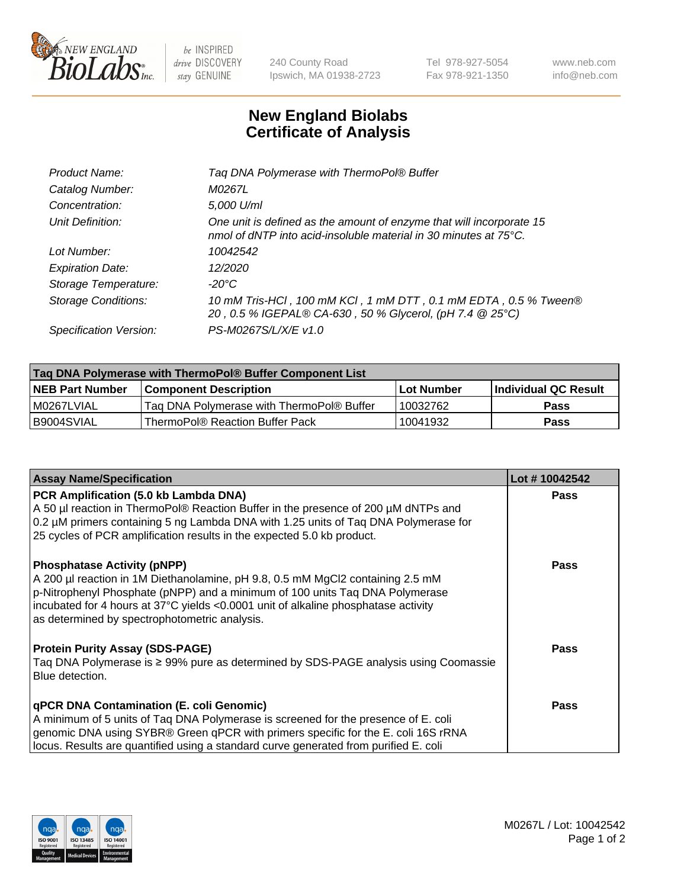

 $be$  INSPIRED drive DISCOVERY stay GENUINE

240 County Road Ipswich, MA 01938-2723 Tel 978-927-5054 Fax 978-921-1350 www.neb.com info@neb.com

## **New England Biolabs Certificate of Analysis**

| Product Name:              | Tag DNA Polymerase with ThermoPol® Buffer                                                                                                |
|----------------------------|------------------------------------------------------------------------------------------------------------------------------------------|
| Catalog Number:            | M0267L                                                                                                                                   |
| Concentration:             | 5,000 U/ml                                                                                                                               |
| Unit Definition:           | One unit is defined as the amount of enzyme that will incorporate 15<br>nmol of dNTP into acid-insoluble material in 30 minutes at 75°C. |
| Lot Number:                | 10042542                                                                                                                                 |
| <b>Expiration Date:</b>    | 12/2020                                                                                                                                  |
| Storage Temperature:       | $-20^{\circ}$ C                                                                                                                          |
| <b>Storage Conditions:</b> | 10 mM Tris-HCl, 100 mM KCl, 1 mM DTT, 0.1 mM EDTA, 0.5 % Tween®<br>20, 0.5 % IGEPAL® CA-630, 50 % Glycerol, (pH 7.4 @ 25°C)              |
| Specification Version:     | PS-M0267S/L/X/E v1.0                                                                                                                     |
|                            |                                                                                                                                          |

| Tag DNA Polymerase with ThermoPol® Buffer Component List |                                           |                   |                      |  |
|----------------------------------------------------------|-------------------------------------------|-------------------|----------------------|--|
| <b>NEB Part Number</b>                                   | <b>Component Description</b>              | <b>Lot Number</b> | Individual QC Result |  |
| M0267LVIAL                                               | Tag DNA Polymerase with ThermoPol® Buffer | 10032762          | <b>Pass</b>          |  |
| I B9004SVIAL                                             | ThermoPol® Reaction Buffer Pack           | 10041932          | <b>Pass</b>          |  |

| <b>Assay Name/Specification</b>                                                                                                                                                                                                                                                                                                             | Lot #10042542 |
|---------------------------------------------------------------------------------------------------------------------------------------------------------------------------------------------------------------------------------------------------------------------------------------------------------------------------------------------|---------------|
| PCR Amplification (5.0 kb Lambda DNA)<br>A 50 µl reaction in ThermoPol® Reaction Buffer in the presence of 200 µM dNTPs and<br>0.2 µM primers containing 5 ng Lambda DNA with 1.25 units of Taq DNA Polymerase for<br>25 cycles of PCR amplification results in the expected 5.0 kb product.                                                | <b>Pass</b>   |
| <b>Phosphatase Activity (pNPP)</b><br>A 200 µl reaction in 1M Diethanolamine, pH 9.8, 0.5 mM MgCl2 containing 2.5 mM<br>p-Nitrophenyl Phosphate (pNPP) and a minimum of 100 units Taq DNA Polymerase<br>incubated for 4 hours at 37°C yields <0.0001 unit of alkaline phosphatase activity<br>as determined by spectrophotometric analysis. | Pass          |
| <b>Protein Purity Assay (SDS-PAGE)</b><br>Taq DNA Polymerase is ≥ 99% pure as determined by SDS-PAGE analysis using Coomassie<br>Blue detection.                                                                                                                                                                                            | Pass          |
| qPCR DNA Contamination (E. coli Genomic)<br>A minimum of 5 units of Taq DNA Polymerase is screened for the presence of E. coli<br>genomic DNA using SYBR® Green qPCR with primers specific for the E. coli 16S rRNA<br>locus. Results are quantified using a standard curve generated from purified E. coli                                 | Pass          |